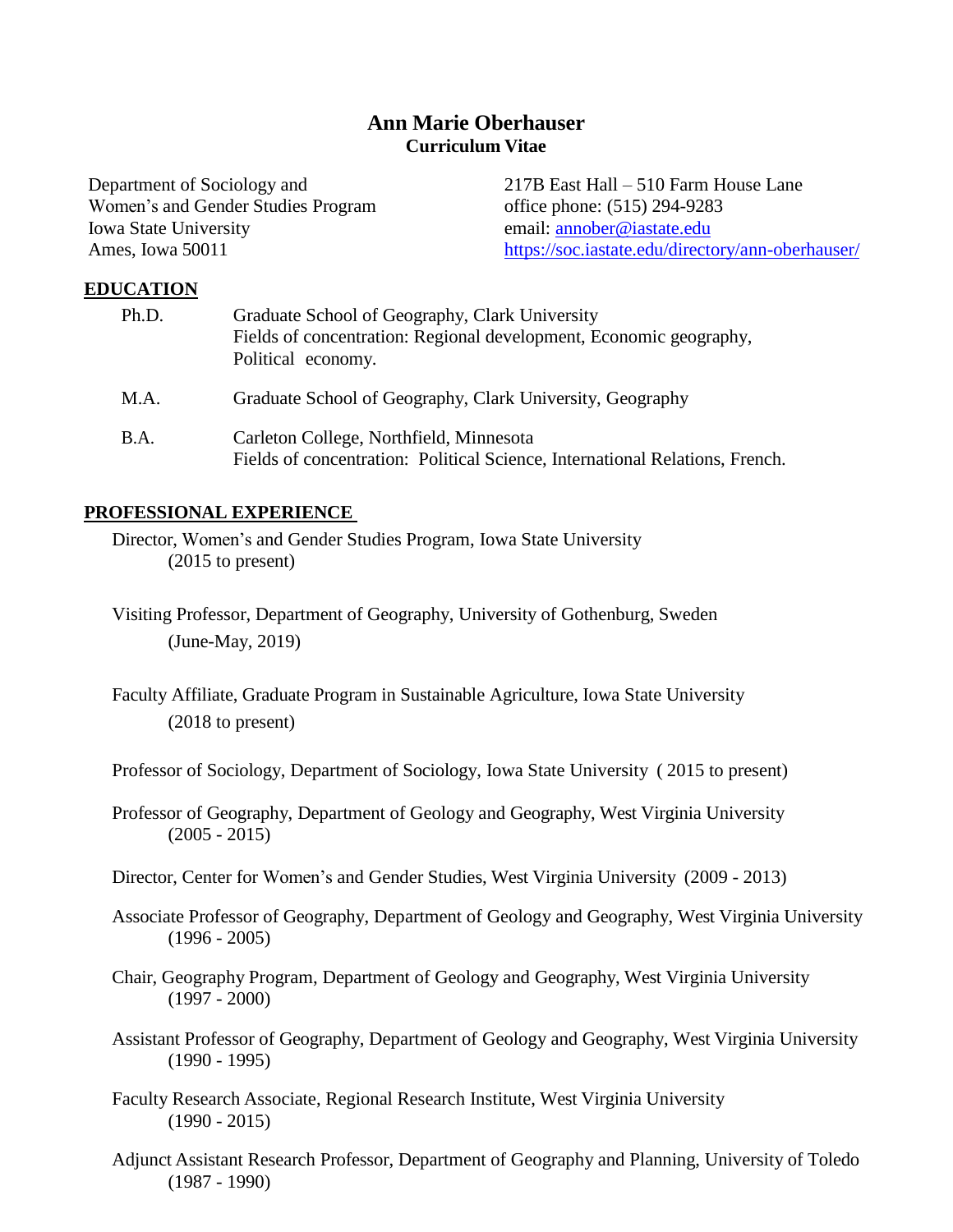# **Ann Marie Oberhauser Curriculum Vitae**

Department of Sociology and Women's and Gender Studies Program Iowa State University Ames, Iowa 50011

217B East Hall – 510 Farm House Lane office phone: (515) 294-9283 email: [annober@iastate.edu](mailto:annober@iastate.edu)  <https://soc.iastate.edu/directory/ann-oberhauser/>

### **EDUCATION**

| Ph.D.       | Graduate School of Geography, Clark University<br>Fields of concentration: Regional development, Economic geography,<br>Political economy. |
|-------------|--------------------------------------------------------------------------------------------------------------------------------------------|
| M.A.        | Graduate School of Geography, Clark University, Geography                                                                                  |
| <b>B.A.</b> | Carleton College, Northfield, Minnesota<br>Fields of concentration: Political Science, International Relations, French.                    |

## **PROFESSIONAL EXPERIENCE**

Director, Women's and Gender Studies Program, Iowa State University (2015 to present)

- Visiting Professor, Department of Geography, University of Gothenburg, Sweden (June-May, 2019)
- Faculty Affiliate, Graduate Program in Sustainable Agriculture, Iowa State University (2018 to present)
- Professor of Sociology, Department of Sociology, Iowa State University ( 2015 to present)

Professor of Geography, Department of Geology and Geography, West Virginia University (2005 - 2015)

- Director, Center for Women's and Gender Studies, West Virginia University (2009 2013)
- Associate Professor of Geography, Department of Geology and Geography, West Virginia University  $(1996 - 2005)$
- Chair, Geography Program, Department of Geology and Geography, West Virginia University  $(1997 - 2000)$
- Assistant Professor of Geography, Department of Geology and Geography, West Virginia University (1990 - 1995)
- Faculty Research Associate, Regional Research Institute, West Virginia University  $(1990 - 2015)$
- Adjunct Assistant Research Professor, Department of Geography and Planning, University of Toledo (1987 - 1990)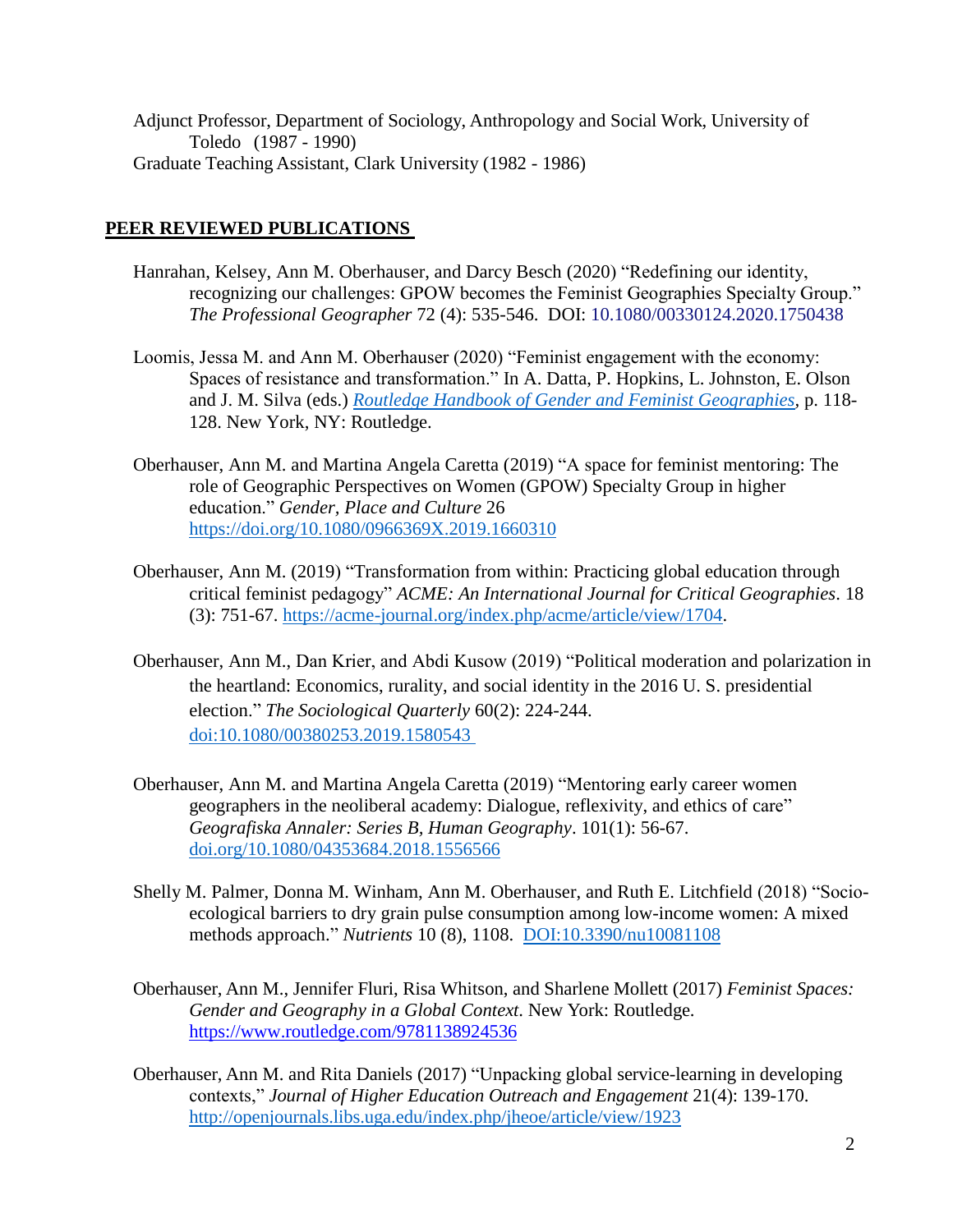Adjunct Professor, Department of Sociology, Anthropology and Social Work, University of Toledo (1987 - 1990) Graduate Teaching Assistant, Clark University (1982 - 1986)

## **PEER REVIEWED PUBLICATIONS**

- Hanrahan, Kelsey, Ann M. Oberhauser, and Darcy Besch (2020) "Redefining our identity, recognizing our challenges: GPOW becomes the Feminist Geographies Specialty Group." *The Professional Geographer* 72 (4): 535-546. DOI: [10.1080/00330124.2020.1750438](https://doi.org/10.1080/00330124.2020.1750438)
- Loomis, Jessa M. and Ann M. Oberhauser (2020) "Feminist engagement with the economy: Spaces of resistance and transformation." In A. Datta, P. Hopkins, L. Johnston, E. Olson and J. M. Silva (eds.) *[Routledge Handbook of Gender and Feminist Geographies,](https://www.routledge.com/Routledge-Handbook-of-Gender-and-Feminist-Geographies/Datta-Hopkins-Johnston-Olson-Silva/p/book/9781138057685)* p. 118- 128. New York, NY: Routledge.
- Oberhauser, Ann M. and Martina Angela Caretta (2019) "A space for feminist mentoring: The role of Geographic Perspectives on Women (GPOW) Specialty Group in higher education." *Gender, Place and Culture* 26 <https://doi.org/10.1080/0966369X.2019.1660310>
- Oberhauser, Ann M. (2019) "Transformation from within: Practicing global education through critical feminist pedagogy" *ACME: An International Journal for Critical Geographies*. 18 (3): 751-67. [https://acme-journal.org/index.php/acme/article/view/1704.](https://acme-journal.org/index.php/acme/article/view/1704)
- Oberhauser, Ann M., Dan Krier, and Abdi Kusow (2019) "Political moderation and polarization in the heartland: Economics, rurality, and social identity in the 2016 U. S. presidential election." *The Sociological Quarterly* 60(2): 224-244. [doi:10.1080/00380253.2019.1580543](https://www.tandfonline.com/doi/full/10.1080/00380253.2019.1580543)
- Oberhauser, Ann M. and Martina Angela Caretta (2019) "Mentoring early career women geographers in the neoliberal academy: Dialogue, reflexivity, and ethics of care" *Geografiska Annaler: Series B, Human Geography*. 101(1): 56-67. [doi.org/10.1080/04353684.2018.1556566](https://doi.org/10.1080/04353684.2018.1556566)
- Shelly M. Palmer, Donna M. Winham, Ann M. Oberhauser, and Ruth E. Litchfield (2018) "Socioecological barriers to dry grain pulse consumption among low-income women: A mixed methods approach." *Nutrients* 10 (8), 1108. [DOI:10.3390/nu10081108](https://lib.dr.iastate.edu/cgi/viewcontent.cgi?article=1027&context=fshn_hs_pubs)
- Oberhauser, Ann M., Jennifer Fluri, Risa Whitson, and Sharlene Mollett (2017) *Feminist Spaces: Gender and Geography in a Global Context*. New York: Routledge. <https://www.routledge.com/9781138924536>
- Oberhauser, Ann M. and Rita Daniels (2017) "Unpacking global service-learning in developing contexts," *Journal of Higher Education Outreach and Engagement* 21(4): 139-170. <http://openjournals.libs.uga.edu/index.php/jheoe/article/view/1923>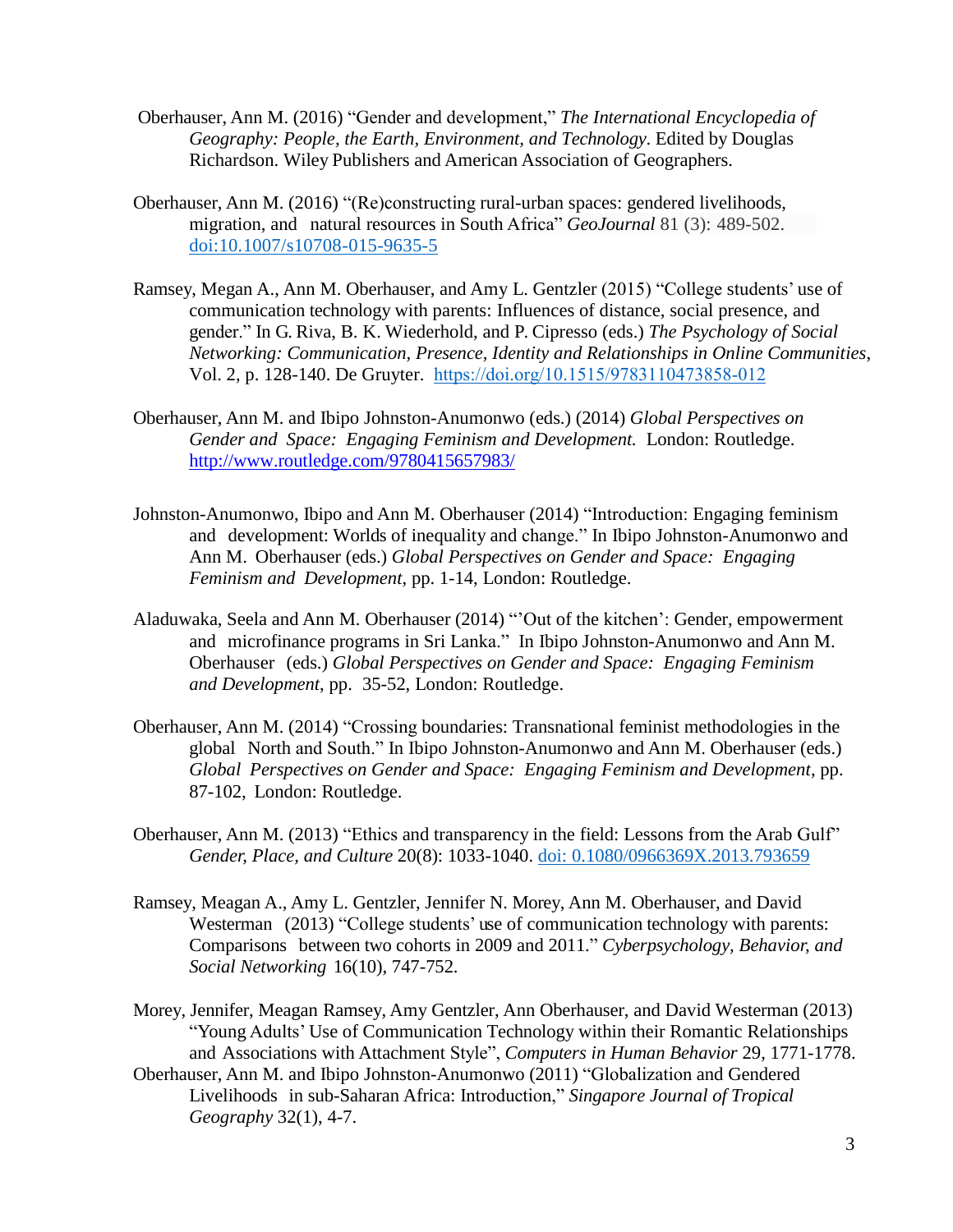- Oberhauser, Ann M. (2016) "Gender and development," *The International Encyclopedia of Geography: People, the Earth, Environment, and Technology*. Edited by Douglas Richardson. Wiley Publishers and American Association of Geographers.
- Oberhauser, Ann M. (2016) "(Re)constructing rural-urban spaces: gendered livelihoods, migration, and natural resources in South Africa" *GeoJournal* 81 (3): 489-502. [doi:10.1007/s10708-015-9635-5](https://doi.org/10.1007/s10708-015-9635-5)
- Ramsey, Megan A., Ann M. Oberhauser, and Amy L. Gentzler (2015) "College students' use of communication technology with parents: Influences of distance, social presence, and gender." In G. Riva, B. K. Wiederhold, and P. Cipresso (eds.) *The Psychology of Social Networking: Communication, Presence, Identity and Relationships in Online Communities*, Vol. 2, p. 128-140. De Gruyter. <https://doi.org/10.1515/9783110473858-012>
- Oberhauser, Ann M. and Ibipo Johnston-Anumonwo (eds.) (2014) *Global Perspectives on Gender and Space: Engaging Feminism and Development.* London: Routledge. <http://www.routledge.com/9780415657983/>
- Johnston-Anumonwo, Ibipo and Ann M. Oberhauser (2014) "Introduction: Engaging feminism and development: Worlds of inequality and change." In Ibipo Johnston-Anumonwo and Ann M. Oberhauser (eds.) *Global Perspectives on Gender and Space: Engaging Feminism and Development*, pp. 1-14, London: Routledge.
- Aladuwaka, Seela and Ann M. Oberhauser (2014) "'Out of the kitchen': Gender, empowerment and microfinance programs in Sri Lanka." In Ibipo Johnston-Anumonwo and Ann M. Oberhauser (eds.) *Global Perspectives on Gender and Space: Engaging Feminism and Development*, pp. 35-52, London: Routledge.
- Oberhauser, Ann M. (2014) "Crossing boundaries: Transnational feminist methodologies in the global North and South." In Ibipo Johnston-Anumonwo and Ann M. Oberhauser (eds.) *Global Perspectives on Gender and Space: Engaging Feminism and Development*, pp. 87-102, London: Routledge.
- Oberhauser, Ann M. (2013) "Ethics and transparency in the field: Lessons from the Arab Gulf" *Gender, Place, and Culture* 20(8): 1033-1040. [doi: 0.1080/0966369X.2013.793659](https://www.tandfonline.com/doi/full/10.1080/0966369X.2013.793659)
- Ramsey, Meagan A., Amy L. Gentzler, Jennifer N. Morey, Ann M. Oberhauser, and David Westerman (2013) "College students' use of communication technology with parents: Comparisons between two cohorts in 2009 and 2011." *Cyberpsychology, Behavior, and Social Networking* 16(10), 747-752.
- Morey, Jennifer, Meagan Ramsey, Amy Gentzler, Ann Oberhauser, and David Westerman (2013) "Young Adults' Use of Communication Technology within their Romantic Relationships and Associations with Attachment Style", *Computers in Human Behavior* 29, 1771-1778.
- Oberhauser, Ann M. and Ibipo Johnston-Anumonwo (2011) "Globalization and Gendered Livelihoods in sub-Saharan Africa: Introduction," *Singapore Journal of Tropical Geography* 32(1), 4-7.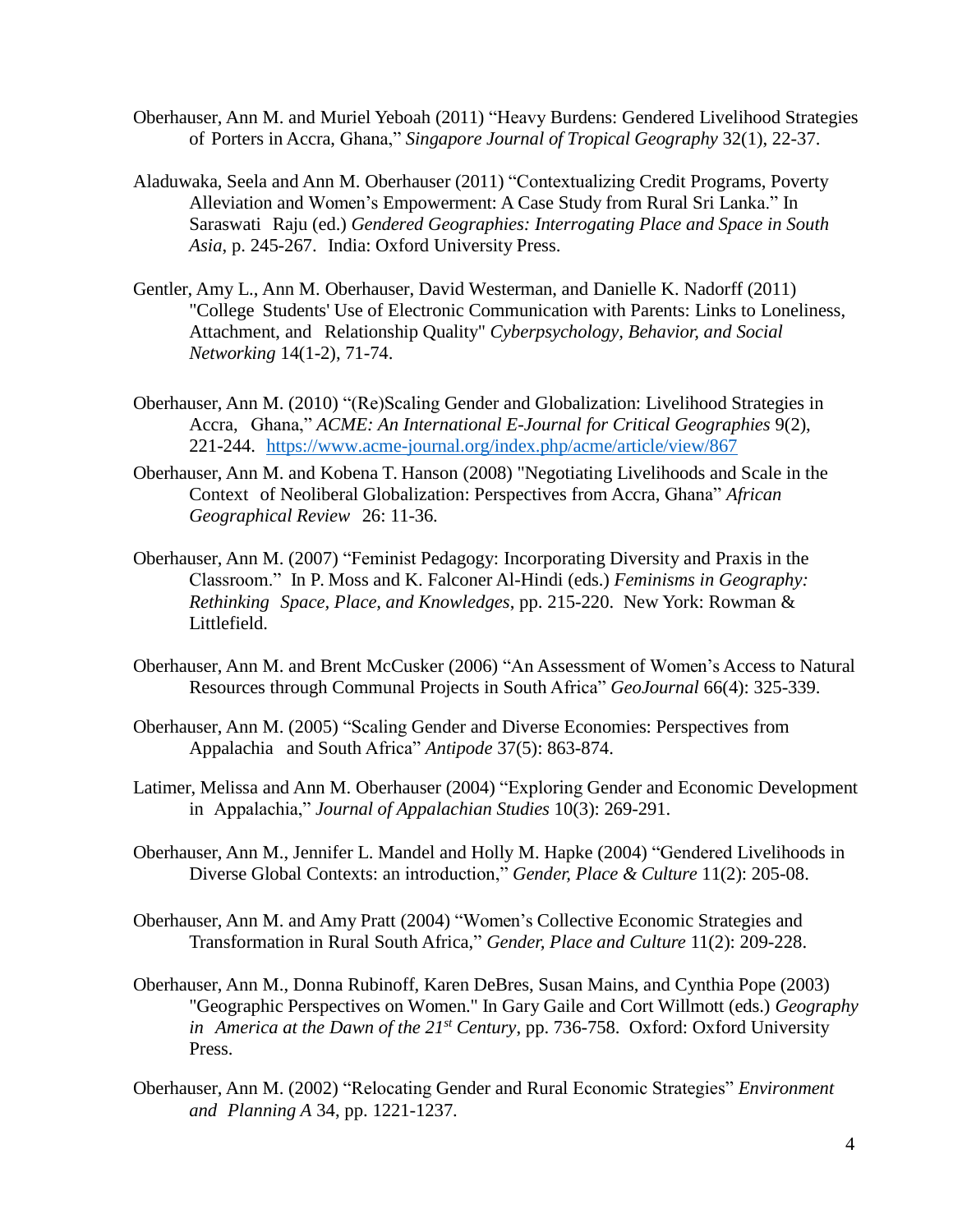- Oberhauser, Ann M. and Muriel Yeboah (2011) "Heavy Burdens: Gendered Livelihood Strategies of Porters in Accra, Ghana," *Singapore Journal of Tropical Geography* 32(1), 22-37.
- Aladuwaka, Seela and Ann M. Oberhauser (2011) "Contextualizing Credit Programs, Poverty Alleviation and Women's Empowerment: A Case Study from Rural Sri Lanka." In Saraswati Raju (ed.) *Gendered Geographies: Interrogating Place and Space in South Asia*, p. 245-267. India: Oxford University Press.
- Gentler, Amy L., Ann M. Oberhauser, David Westerman, and Danielle K. Nadorff (2011) "College Students' Use of Electronic Communication with Parents: Links to Loneliness, Attachment, and Relationship Quality" *Cyberpsychology, Behavior, and Social Networking* 14(1-2), 71-74.
- Oberhauser, Ann M. (2010) "(Re)Scaling Gender and Globalization: Livelihood Strategies in Accra, Ghana," *ACME: An International E-Journal for Critical Geographies* 9(2), 221-244. <https://www.acme-journal.org/index.php/acme/article/view/867>
- Oberhauser, Ann M. and Kobena T. Hanson (2008) "Negotiating Livelihoods and Scale in the Context of Neoliberal Globalization: Perspectives from Accra, Ghana" *African Geographical Review* 26: 11-36.
- Oberhauser, Ann M. (2007) "Feminist Pedagogy: Incorporating Diversity and Praxis in the Classroom." In P. Moss and K. Falconer Al-Hindi (eds.) *Feminisms in Geography: Rethinking Space, Place, and Knowledges*, pp. 215-220. New York: Rowman & Littlefield.
- Oberhauser, Ann M. and Brent McCusker (2006) "An Assessment of Women's Access to Natural Resources through Communal Projects in South Africa" *GeoJournal* 66(4): 325-339.
- Oberhauser, Ann M. (2005) "Scaling Gender and Diverse Economies: Perspectives from Appalachia and South Africa" *Antipode* 37(5): 863-874.
- Latimer, Melissa and Ann M. Oberhauser (2004) "Exploring Gender and Economic Development in Appalachia," *Journal of Appalachian Studies* 10(3): 269-291.
- Oberhauser, Ann M., Jennifer L. Mandel and Holly M. Hapke (2004) "Gendered Livelihoods in Diverse Global Contexts: an introduction," *Gender, Place & Culture* 11(2): 205-08.
- Oberhauser, Ann M. and Amy Pratt (2004) "Women's Collective Economic Strategies and Transformation in Rural South Africa," *Gender, Place and Culture* 11(2): 209-228.
- Oberhauser, Ann M., Donna Rubinoff, Karen DeBres, Susan Mains, and Cynthia Pope (2003) "Geographic Perspectives on Women." In Gary Gaile and Cort Willmott (eds.) *Geography in America at the Dawn of the 21st Century*, pp. 736-758. Oxford: Oxford University Press.
- Oberhauser, Ann M. (2002) "Relocating Gender and Rural Economic Strategies" *Environment and Planning A* 34, pp. 1221-1237.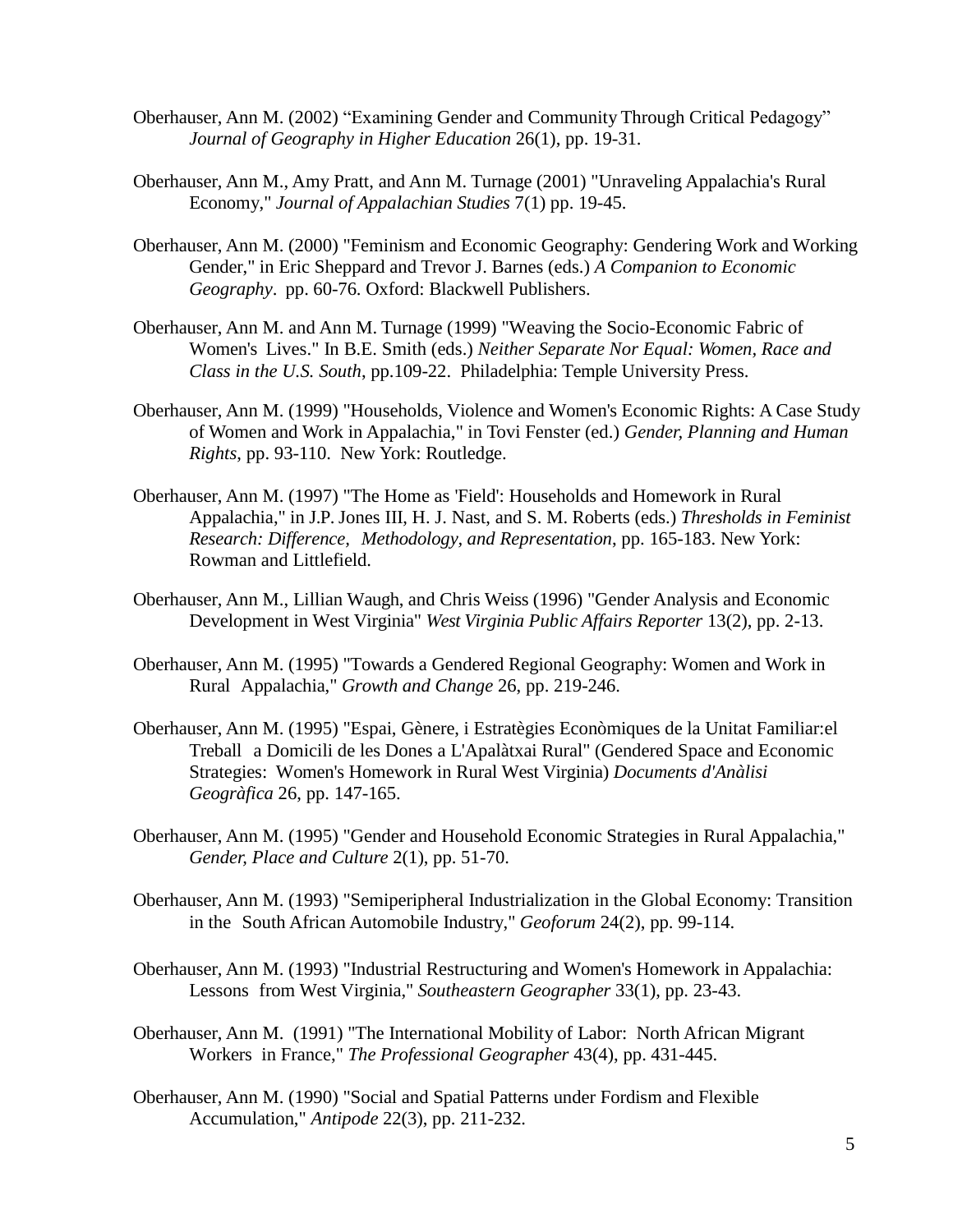- Oberhauser, Ann M. (2002) "Examining Gender and Community Through Critical Pedagogy" *Journal of Geography in Higher Education* 26(1), pp. 19-31.
- Oberhauser, Ann M., Amy Pratt, and Ann M. Turnage (2001) "Unraveling Appalachia's Rural Economy," *Journal of Appalachian Studies* 7(1) pp. 19-45.
- Oberhauser, Ann M. (2000) "Feminism and Economic Geography: Gendering Work and Working Gender," in Eric Sheppard and Trevor J. Barnes (eds.) *A Companion to Economic Geography*. pp. 60-76. Oxford: Blackwell Publishers.
- Oberhauser, Ann M. and Ann M. Turnage (1999) "Weaving the Socio-Economic Fabric of Women's Lives." In B.E. Smith (eds.) *Neither Separate Nor Equal: Women, Race and Class in the U.S. South*, pp.109-22. Philadelphia: Temple University Press.
- Oberhauser, Ann M. (1999) "Households, Violence and Women's Economic Rights: A Case Study of Women and Work in Appalachia," in Tovi Fenster (ed.) *Gender, Planning and Human Rights*, pp. 93-110. New York: Routledge.
- Oberhauser, Ann M. (1997) "The Home as 'Field': Households and Homework in Rural Appalachia," in J.P. Jones III, H. J. Nast, and S. M. Roberts (eds.) *Thresholds in Feminist Research: Difference, Methodology, and Representation*, pp. 165-183. New York: Rowman and Littlefield.
- Oberhauser, Ann M., Lillian Waugh, and Chris Weiss (1996) "Gender Analysis and Economic Development in West Virginia" *West Virginia Public Affairs Reporter* 13(2), pp. 2-13.
- Oberhauser, Ann M. (1995) "Towards a Gendered Regional Geography: Women and Work in Rural Appalachia," *Growth and Change* 26, pp. 219-246.
- Oberhauser, Ann M. (1995) "Espai, Gènere, i Estratègies Econòmiques de la Unitat Familiar:el Treball a Domicili de les Dones a L'Apalàtxai Rural" (Gendered Space and Economic Strategies: Women's Homework in Rural West Virginia) *Documents d'Anàlisi Geogràfica* 26, pp. 147-165.
- Oberhauser, Ann M. (1995) "Gender and Household Economic Strategies in Rural Appalachia," *Gender, Place and Culture* 2(1), pp. 51-70.
- Oberhauser, Ann M. (1993) "Semiperipheral Industrialization in the Global Economy: Transition in the South African Automobile Industry," *Geoforum* 24(2), pp. 99-114.
- Oberhauser, Ann M. (1993) "Industrial Restructuring and Women's Homework in Appalachia: Lessons from West Virginia," *Southeastern Geographer* 33(1), pp. 23-43.
- Oberhauser, Ann M. (1991) "The International Mobility of Labor: North African Migrant Workers in France," *The Professional Geographer* 43(4), pp. 431-445.
- Oberhauser, Ann M. (1990) "Social and Spatial Patterns under Fordism and Flexible Accumulation," *Antipode* 22(3), pp. 211-232.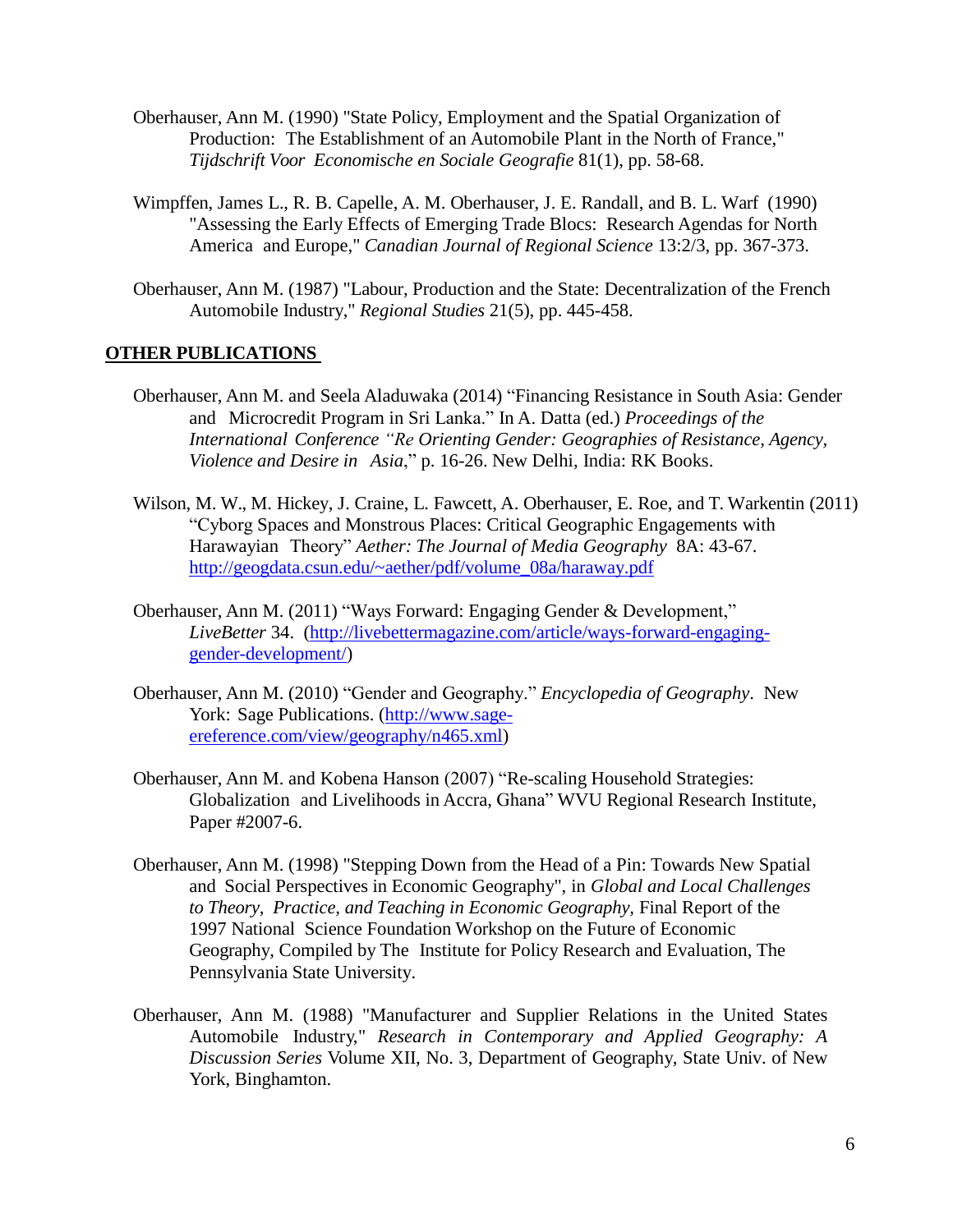- Oberhauser, Ann M. (1990) "State Policy, Employment and the Spatial Organization of Production: The Establishment of an Automobile Plant in the North of France," *Tijdschrift Voor Economische en Sociale Geografie* 81(1), pp. 58-68.
- Wimpffen, James L., R. B. Capelle, A. M. Oberhauser, J. E. Randall, and B. L. Warf (1990) "Assessing the Early Effects of Emerging Trade Blocs: Research Agendas for North America and Europe," *Canadian Journal of Regional Science* 13:2/3, pp. 367-373.
- Oberhauser, Ann M. (1987) "Labour, Production and the State: Decentralization of the French Automobile Industry," *Regional Studies* 21(5), pp. 445-458.

### **OTHER PUBLICATIONS**

- Oberhauser, Ann M. and Seela Aladuwaka (2014) "Financing Resistance in South Asia: Gender and Microcredit Program in Sri Lanka." In A. Datta (ed.) *Proceedings of the International Conference "Re Orienting Gender: Geographies of Resistance, Agency, Violence and Desire in Asia*," p. 16-26. New Delhi, India: RK Books.
- Wilson, M. W., M. Hickey, J. Craine, L. Fawcett, A. Oberhauser, E. Roe, and T. Warkentin (2011) "Cyborg Spaces and Monstrous Places: Critical Geographic Engagements with Harawayian Theory" *Aether: The Journal of Media Geography* 8A: 43-67. [http://geogdata.csun.edu/~aether/pdf/volume\\_08a/haraway.pdf](http://geogdata.csun.edu/~aether/pdf/volume_08a/haraway.pdf)
- Oberhauser, Ann M. (2011) "Ways Forward: Engaging Gender & Development," *LiveBetter* 34. [\(http://livebettermagazine.com/article/ways-forward-engaging](http://livebettermagazine.com/article/ways-forward-engaging-gender-development/)[gender-development/\)](http://livebettermagazine.com/article/ways-forward-engaging-gender-development/)
- Oberhauser, Ann M. (2010) "Gender and Geography." *Encyclopedia of Geography*. New York: Sage Publications. [\(http://www.sage](http://www.sage-ereference.com/view/geography/n465.xml)[ereference.com/view/geography/n465.xml\)](http://www.sage-ereference.com/view/geography/n465.xml)
- Oberhauser, Ann M. and Kobena Hanson (2007) "Re-scaling Household Strategies: Globalization and Livelihoods in Accra, Ghana" WVU Regional Research Institute, Paper #2007-6.
- Oberhauser, Ann M. (1998) "Stepping Down from the Head of a Pin: Towards New Spatial and Social Perspectives in Economic Geography", in *Global and Local Challenges to Theory, Practice, and Teaching in Economic Geography,* Final Report of the 1997 National Science Foundation Workshop on the Future of Economic Geography, Compiled by The Institute for Policy Research and Evaluation, The Pennsylvania State University.
- Oberhauser, Ann M. (1988) "Manufacturer and Supplier Relations in the United States Automobile Industry," *Research in Contemporary and Applied Geography: A Discussion Series* Volume XII, No. 3, Department of Geography, State Univ. of New York, Binghamton.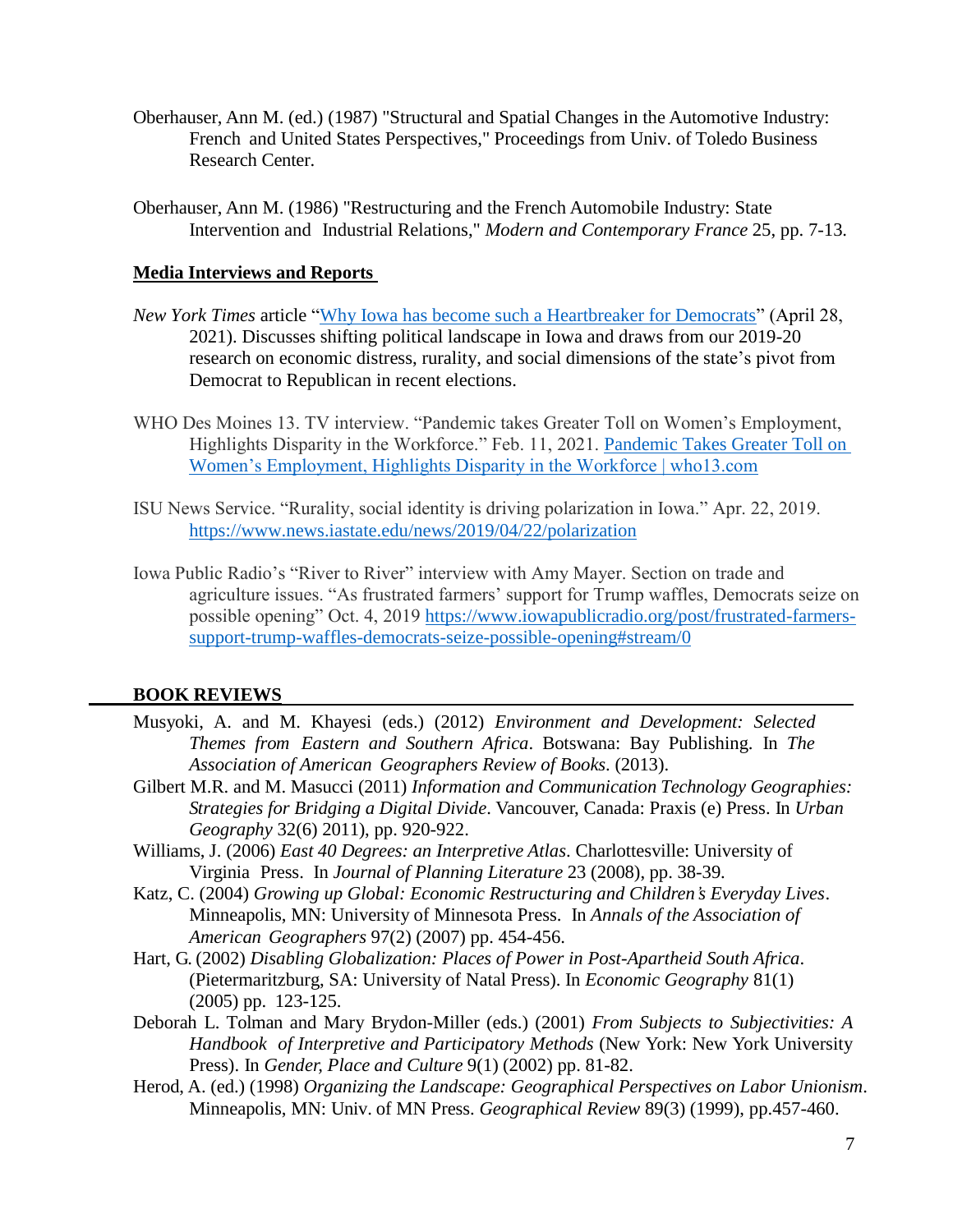- Oberhauser, Ann M. (ed.) (1987) "Structural and Spatial Changes in the Automotive Industry: French and United States Perspectives," Proceedings from Univ. of Toledo Business Research Center.
- Oberhauser, Ann M. (1986) "Restructuring and the French Automobile Industry: State Intervention and Industrial Relations," *Modern and Contemporary France* 25, pp. 7-13.

### **Media Interviews and Reports**

- *New York Times* article ["Why Iowa has become such a Heartbreaker for Democrats"](https://nyti.ms/3nnOxL3) (April 28, 2021). Discusses shifting political landscape in Iowa and draws from our 2019-20 research on economic distress, rurality, and social dimensions of the state's pivot from Democrat to Republican in recent elections.
- WHO Des Moines 13. TV interview. "Pandemic takes Greater Toll on Women's Employment, Highlights Disparity in the Workforce." Feb. 11, 2021. [Pandemic Takes Greater Toll on](https://who13.com/news/special-reports/pandemic-takes-greater-toll-on-womens-employment-highlights-disparity-in-the-workforce/)  [Women's Employment, Highlights Disparity in the Workforce | who13.com](https://who13.com/news/special-reports/pandemic-takes-greater-toll-on-womens-employment-highlights-disparity-in-the-workforce/)
- ISU News Service. "Rurality, social identity is driving polarization in Iowa." Apr. 22, 2019. <https://www.news.iastate.edu/news/2019/04/22/polarization>
- Iowa Public Radio's "River to River" interview with Amy Mayer. Section on trade and agriculture issues. "As frustrated farmers' support for Trump waffles, Democrats seize on possible opening" Oct. 4, 2019 [https://www.iowapublicradio.org/post/frustrated-farmers](https://www.iowapublicradio.org/post/frustrated-farmers-support-trump-waffles-democrats-seize-possible-opening#stream/0)[support-trump-waffles-democrats-seize-possible-opening#stream/0](https://www.iowapublicradio.org/post/frustrated-farmers-support-trump-waffles-democrats-seize-possible-opening#stream/0)

#### **BOOK REVIEWS**

- Musyoki, A. and M. Khayesi (eds.) (2012) *Environment and Development: Selected Themes from Eastern and Southern Africa*. Botswana: Bay Publishing. In *The Association of American Geographers Review of Books*. (2013).
- Gilbert M.R. and M. Masucci (2011) *Information and Communication Technology Geographies: Strategies for Bridging a Digital Divide*. Vancouver, Canada: Praxis (e) Press. In *Urban Geography* 32(6) 2011), pp. 920-922.
- Williams, J. (2006) *East 40 Degrees: an Interpretive Atlas*. Charlottesville: University of Virginia Press. In *Journal of Planning Literature* 23 (2008), pp. 38-39.
- Katz, C. (2004) *Growing up Global: Economic Restructuring and Children's Everyday Lives*. Minneapolis, MN: University of Minnesota Press. In *Annals of the Association of American Geographers* 97(2) (2007) pp. 454-456.
- Hart, G. (2002) *Disabling Globalization: Places of Power in Post-Apartheid South Africa*. (Pietermaritzburg, SA: University of Natal Press). In *Economic Geography* 81(1) (2005) pp. 123-125.
- Deborah L. Tolman and Mary Brydon-Miller (eds.) (2001) *From Subjects to Subjectivities: A Handbook of Interpretive and Participatory Methods* (New York: New York University Press). In *Gender, Place and Culture* 9(1) (2002) pp. 81-82.
- Herod, A. (ed.) (1998) *Organizing the Landscape: Geographical Perspectives on Labor Unionism*. Minneapolis, MN: Univ. of MN Press. *Geographical Review* 89(3) (1999), pp.457-460.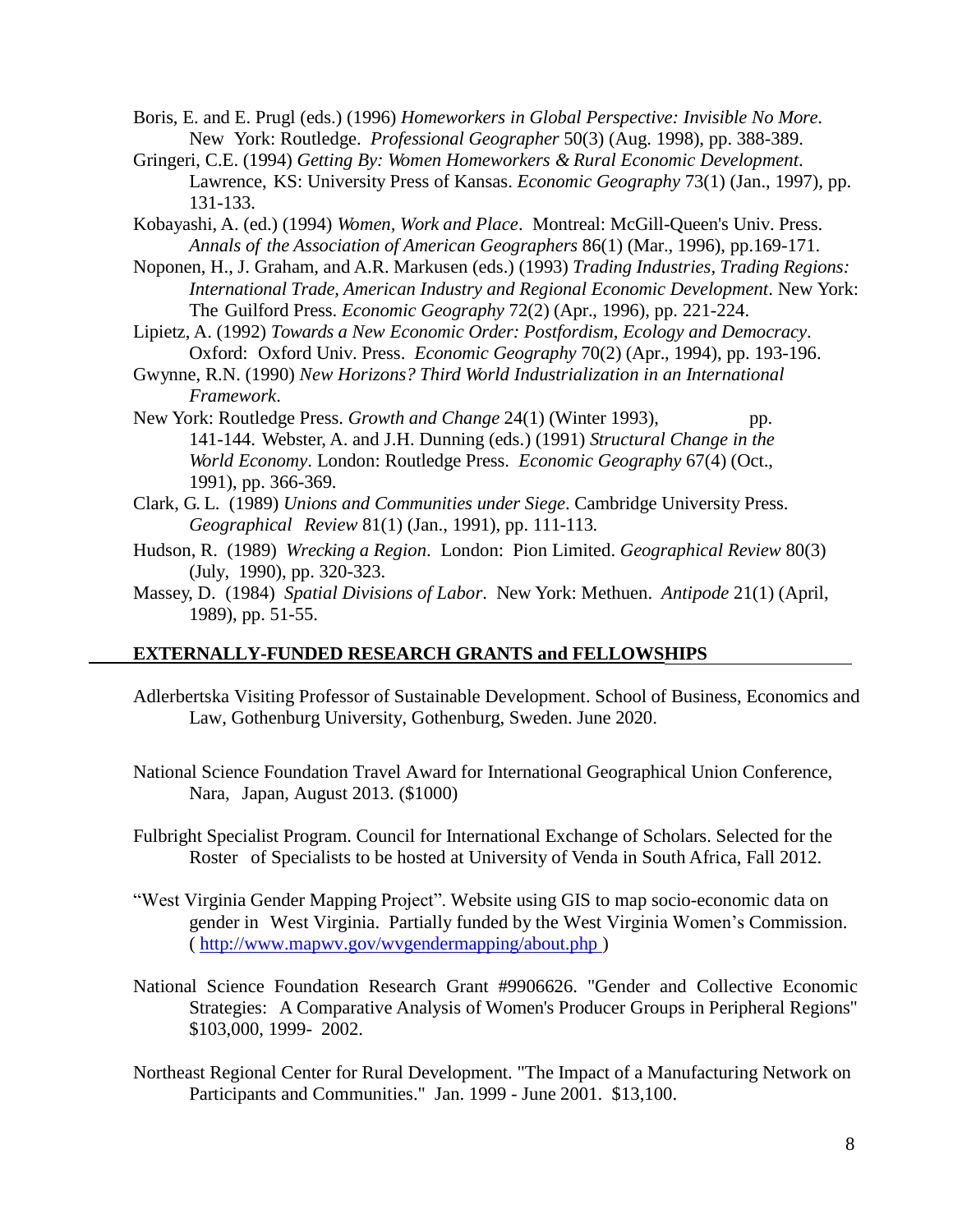- Boris, E. and E. Prugl (eds.) (1996) *Homeworkers in Global Perspective: Invisible No More*. New York: Routledge. *Professional Geographer* 50(3) (Aug. 1998), pp. 388-389.
- Gringeri, C.E. (1994) *Getting By: Women Homeworkers & Rural Economic Development*. Lawrence, KS: University Press of Kansas. *Economic Geography* 73(1) (Jan., 1997), pp. 131-133.
- Kobayashi, A. (ed.) (1994) *Women, Work and Place*. Montreal: McGill-Queen's Univ. Press. *Annals of the Association of American Geographers* 86(1) (Mar., 1996), pp.169-171.
- Noponen, H., J. Graham, and A.R. Markusen (eds.) (1993) *Trading Industries, Trading Regions: International Trade, American Industry and Regional Economic Development*. New York: The Guilford Press. *Economic Geography* 72(2) (Apr., 1996), pp. 221-224.
- Lipietz, A. (1992) *Towards a New Economic Order: Postfordism, Ecology and Democracy*. Oxford: Oxford Univ. Press. *Economic Geography* 70(2) (Apr., 1994), pp. 193-196.
- Gwynne, R.N. (1990) *New Horizons? Third World Industrialization in an International Framework*.
- New York: Routledge Press. *Growth and Change* 24(1) (Winter 1993), pp. 141-144. Webster, A. and J.H. Dunning (eds.) (1991) *Structural Change in the World Economy*. London: Routledge Press. *Economic Geography* 67(4) (Oct., 1991), pp. 366-369.
- Clark, G. L. (1989) *Unions and Communities under Siege*. Cambridge University Press. *Geographical Review* 81(1) (Jan., 1991), pp. 111-113.
- Hudson, R. (1989) *Wrecking a Region*. London: Pion Limited. *Geographical Review* 80(3) (July, 1990), pp. 320-323.
- Massey, D. (1984) *Spatial Divisions of Labor*. New York: Methuen. *Antipode* 21(1) (April, 1989), pp. 51-55.

## **EXTERNALLY-FUNDED RESEARCH GRANTS and FELLOWSHIPS**

- Adlerbertska Visiting Professor of Sustainable Development. School of Business, Economics and Law, Gothenburg University, Gothenburg, Sweden. June 2020.
- National Science Foundation Travel Award for International Geographical Union Conference, Nara, Japan, August 2013. (\$1000)
- Fulbright Specialist Program. Council for International Exchange of Scholars. Selected for the Roster of Specialists to be hosted at University of Venda in South Africa, Fall 2012.
- "West Virginia Gender Mapping Project". Website using GIS to map socio-economic data on gender in West Virginia. Partially funded by the West Virginia Women's Commission. ( <http://www.mapwv.gov/wvgendermapping/about.php> )
- National Science Foundation Research Grant #9906626. "Gender and Collective Economic Strategies: A Comparative Analysis of Women's Producer Groups in Peripheral Regions" \$103,000, 1999- 2002.
- Northeast Regional Center for Rural Development. "The Impact of a Manufacturing Network on Participants and Communities." Jan. 1999 - June 2001. \$13,100.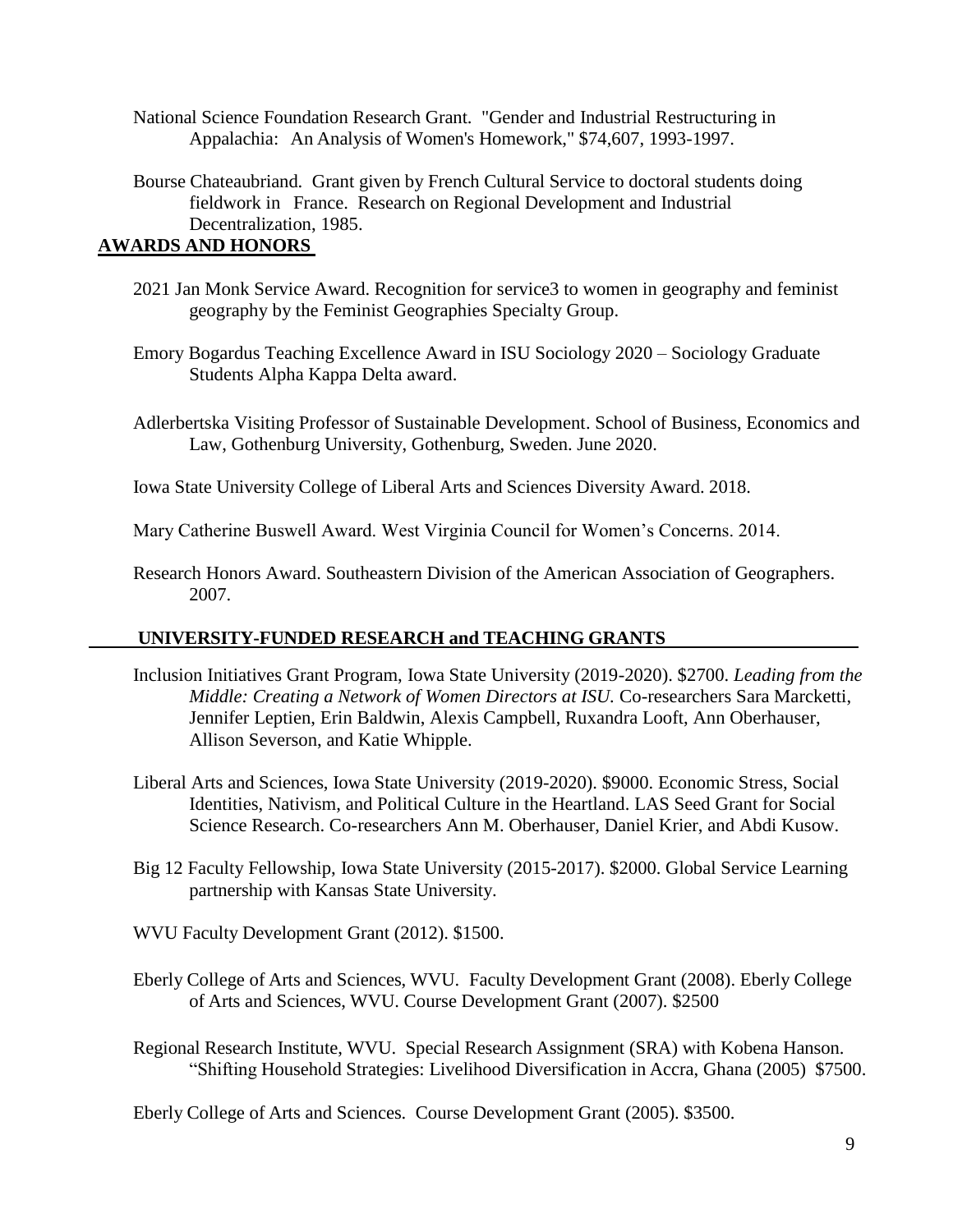- National Science Foundation Research Grant. "Gender and Industrial Restructuring in Appalachia: An Analysis of Women's Homework," \$74,607, 1993-1997.
- Bourse Chateaubriand. Grant given by French Cultural Service to doctoral students doing fieldwork in France. Research on Regional Development and Industrial Decentralization, 1985.

## **AWARDS AND HONORS**

- 2021 Jan Monk Service Award. Recognition for service3 to women in geography and feminist geography by the Feminist Geographies Specialty Group.
- Emory Bogardus Teaching Excellence Award in ISU Sociology 2020 Sociology Graduate Students Alpha Kappa Delta award.
- Adlerbertska Visiting Professor of Sustainable Development. School of Business, Economics and Law, Gothenburg University, Gothenburg, Sweden. June 2020.

Iowa State University College of Liberal Arts and Sciences Diversity Award. 2018.

Mary Catherine Buswell Award. West Virginia Council for Women's Concerns. 2014.

Research Honors Award. Southeastern Division of the American Association of Geographers. 2007.

#### **UNIVERSITY-FUNDED RESEARCH and TEACHING GRANTS**

- Inclusion Initiatives Grant Program, Iowa State University (2019-2020). \$2700. *Leading from the Middle: Creating a Network of Women Directors at ISU.* Co-researchers Sara Marcketti, Jennifer Leptien, Erin Baldwin, Alexis Campbell, Ruxandra Looft, Ann Oberhauser, Allison Severson, and Katie Whipple.
- Liberal Arts and Sciences, Iowa State University (2019-2020). \$9000. Economic Stress, Social Identities, Nativism, and Political Culture in the Heartland. LAS Seed Grant for Social Science Research. Co-researchers Ann M. Oberhauser, Daniel Krier, and Abdi Kusow.
- Big 12 Faculty Fellowship, Iowa State University (2015-2017). \$2000. Global Service Learning partnership with Kansas State University.
- WVU Faculty Development Grant (2012). \$1500.
- Eberly College of Arts and Sciences, WVU. Faculty Development Grant (2008). Eberly College of Arts and Sciences, WVU. Course Development Grant (2007). \$2500
- Regional Research Institute, WVU. Special Research Assignment (SRA) with Kobena Hanson. "Shifting Household Strategies: Livelihood Diversification in Accra, Ghana (2005) \$7500.

Eberly College of Arts and Sciences. Course Development Grant (2005). \$3500.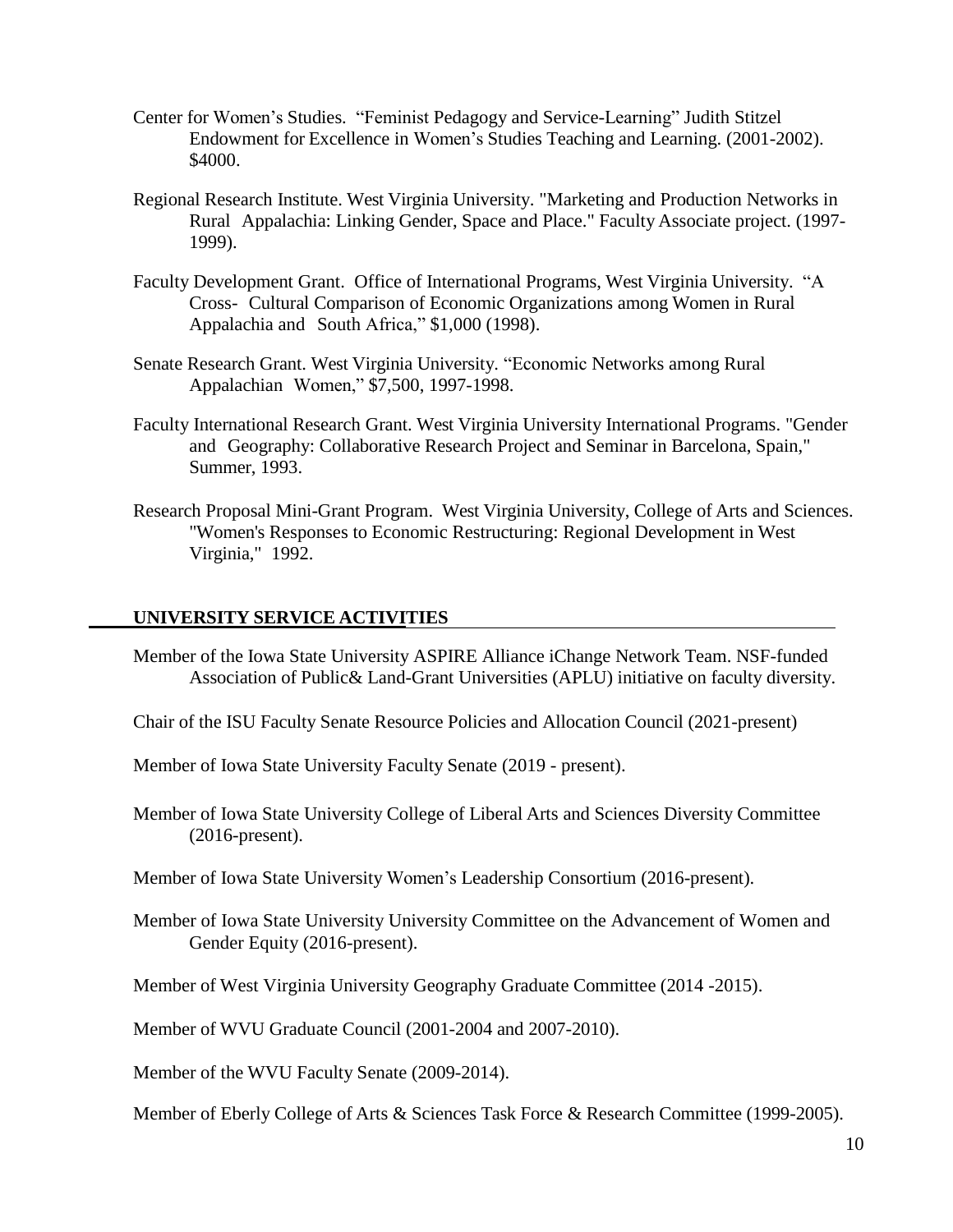- Center for Women's Studies. "Feminist Pedagogy and Service-Learning" Judith Stitzel Endowment for Excellence in Women's Studies Teaching and Learning. (2001-2002). \$4000.
- Regional Research Institute. West Virginia University. "Marketing and Production Networks in Rural Appalachia: Linking Gender, Space and Place." Faculty Associate project. (1997- 1999).
- Faculty Development Grant. Office of International Programs, West Virginia University. "A Cross- Cultural Comparison of Economic Organizations among Women in Rural Appalachia and South Africa," \$1,000 (1998).
- Senate Research Grant. West Virginia University. "Economic Networks among Rural Appalachian Women," \$7,500, 1997-1998.
- Faculty International Research Grant. West Virginia University International Programs. "Gender and Geography: Collaborative Research Project and Seminar in Barcelona, Spain," Summer, 1993.
- Research Proposal Mini-Grant Program. West Virginia University, College of Arts and Sciences. "Women's Responses to Economic Restructuring: Regional Development in West Virginia," 1992.

#### **UNIVERSITY SERVICE ACTIVITIES**

Member of the Iowa State University ASPIRE Alliance iChange Network Team. NSF-funded Association of Public& Land-Grant Universities (APLU) initiative on faculty diversity.

Chair of the ISU Faculty Senate Resource Policies and Allocation Council (2021-present)

Member of Iowa State University Faculty Senate (2019 - present).

Member of Iowa State University College of Liberal Arts and Sciences Diversity Committee (2016-present).

Member of Iowa State University Women's Leadership Consortium (2016-present).

Member of Iowa State University University Committee on the Advancement of Women and Gender Equity (2016-present).

Member of West Virginia University Geography Graduate Committee (2014 -2015).

Member of WVU Graduate Council (2001-2004 and 2007-2010).

Member of the WVU Faculty Senate (2009-2014).

Member of Eberly College of Arts & Sciences Task Force & Research Committee (1999-2005).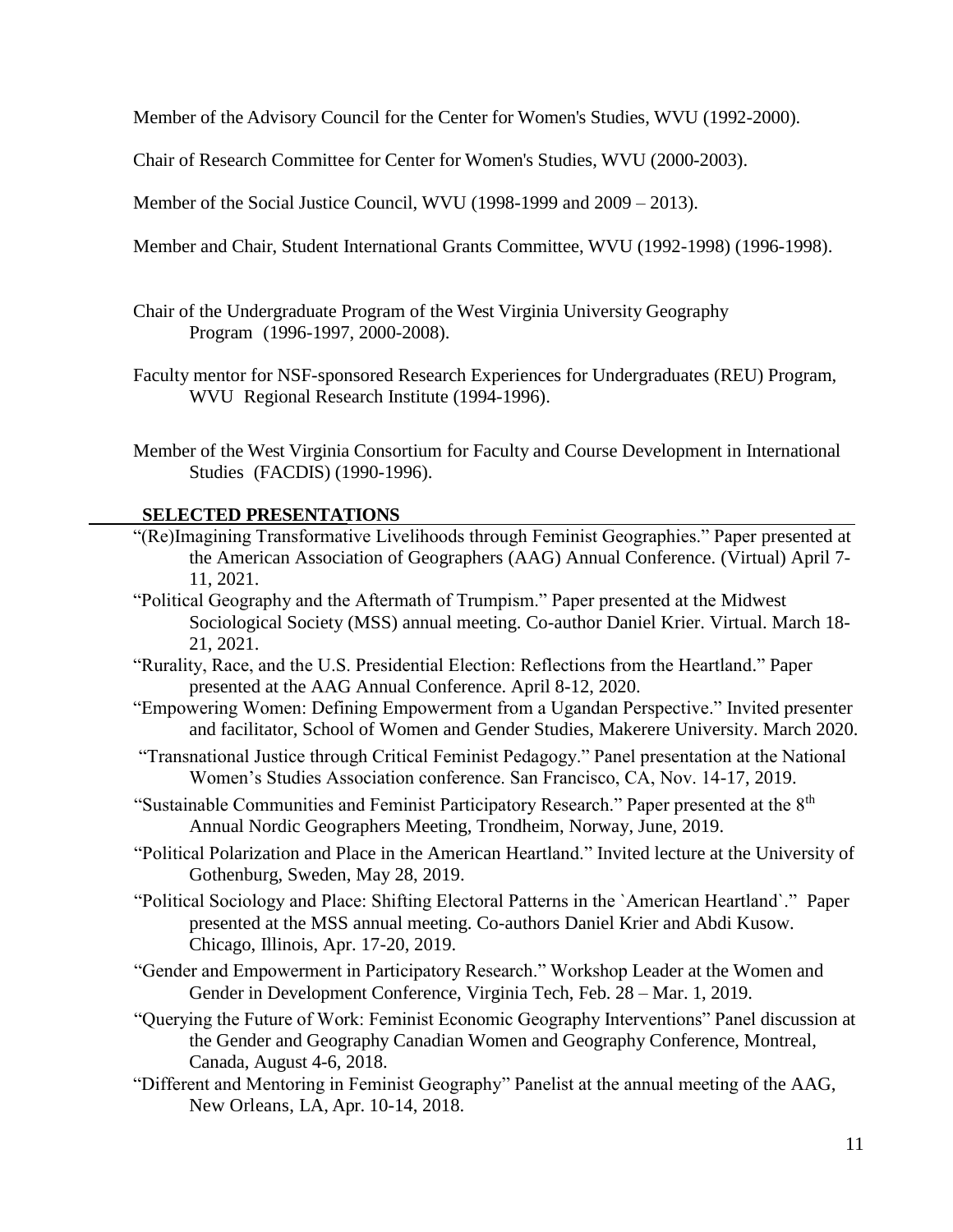Member of the Advisory Council for the Center for Women's Studies, WVU (1992-2000).

Chair of Research Committee for Center for Women's Studies, WVU (2000-2003).

Member of the Social Justice Council, WVU (1998-1999 and 2009 – 2013).

Member and Chair, Student International Grants Committee, WVU (1992-1998) (1996-1998).

- Chair of the Undergraduate Program of the West Virginia University Geography Program (1996-1997, 2000-2008).
- Faculty mentor for NSF-sponsored Research Experiences for Undergraduates (REU) Program, WVU Regional Research Institute (1994-1996).
- Member of the West Virginia Consortium for Faculty and Course Development in International Studies (FACDIS) (1990-1996).

## **SELECTED PRESENTATIONS**

- "(Re)Imagining Transformative Livelihoods through Feminist Geographies." Paper presented at the American Association of Geographers (AAG) Annual Conference. (Virtual) April 7- 11, 2021.
- "Political Geography and the Aftermath of Trumpism." Paper presented at the Midwest Sociological Society (MSS) annual meeting. Co-author Daniel Krier. Virtual. March 18- 21, 2021.
- "Rurality, Race, and the U.S. Presidential Election: Reflections from the Heartland." Paper presented at the AAG Annual Conference. April 8-12, 2020.
- "Empowering Women: Defining Empowerment from a Ugandan Perspective." Invited presenter and facilitator, School of Women and Gender Studies, Makerere University. March 2020.
- "Transnational Justice through Critical Feminist Pedagogy." Panel presentation at the National Women's Studies Association conference. San Francisco, CA, Nov. 14-17, 2019.
- "Sustainable Communities and Feminist Participatory Research." Paper presented at the 8<sup>th</sup> Annual Nordic Geographers Meeting, Trondheim, Norway, June, 2019.
- "Political Polarization and Place in the American Heartland." Invited lecture at the University of Gothenburg, Sweden, May 28, 2019.
- "Political Sociology and Place: Shifting Electoral Patterns in the `American Heartland`." Paper presented at the MSS annual meeting. Co-authors Daniel Krier and Abdi Kusow. Chicago, Illinois, Apr. 17-20, 2019.
- "Gender and Empowerment in Participatory Research." Workshop Leader at the Women and Gender in Development Conference, Virginia Tech, Feb. 28 – Mar. 1, 2019.
- "Querying the Future of Work: Feminist Economic Geography Interventions" Panel discussion at the Gender and Geography Canadian Women and Geography Conference, Montreal, Canada, August 4-6, 2018.
- "Different and Mentoring in Feminist Geography" Panelist at the annual meeting of the AAG, New Orleans, LA, Apr. 10-14, 2018.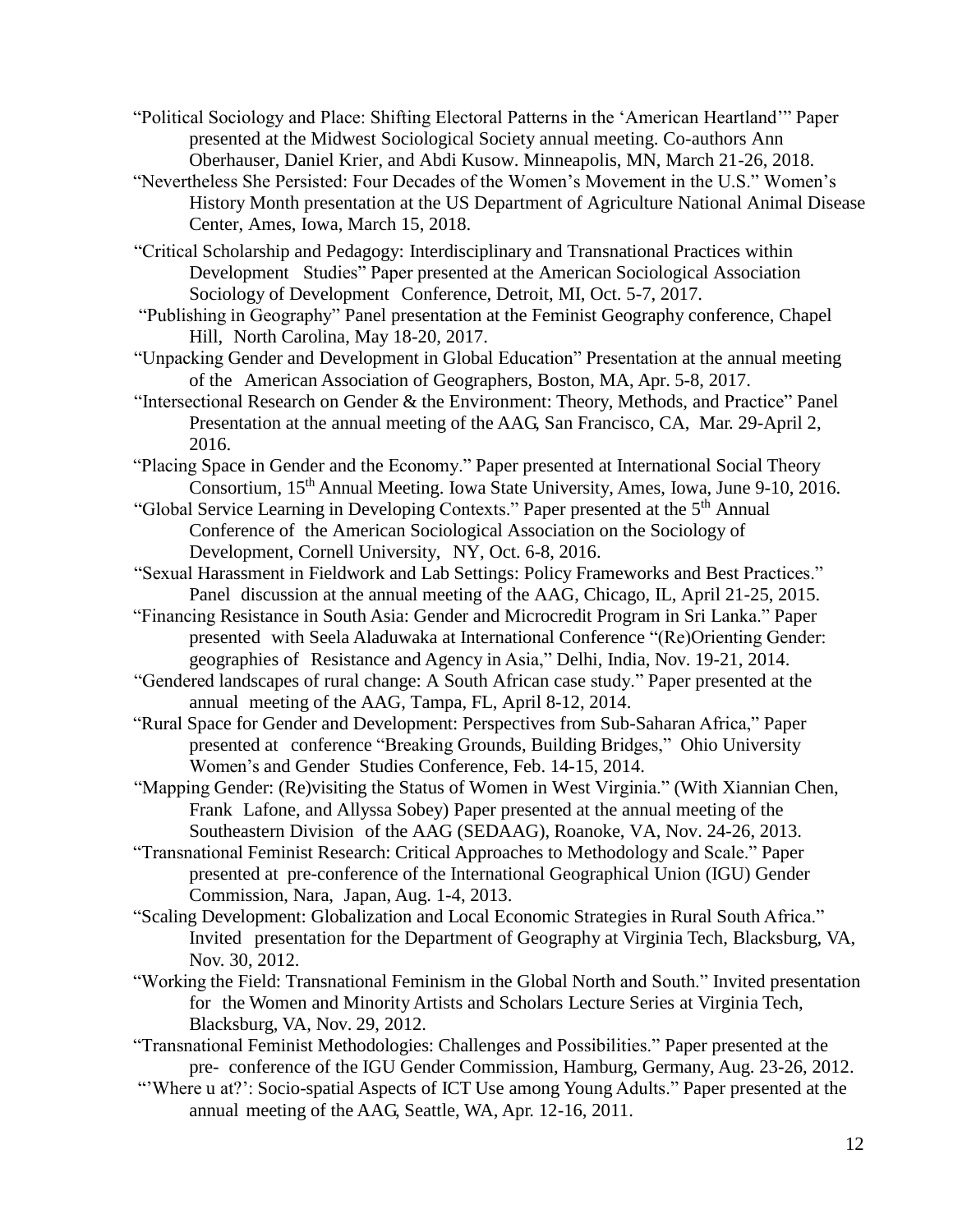"Political Sociology and Place: Shifting Electoral Patterns in the 'American Heartland'" Paper presented at the Midwest Sociological Society annual meeting. Co-authors Ann Oberhauser, Daniel Krier, and Abdi Kusow. Minneapolis, MN, March 21-26, 2018.

"Nevertheless She Persisted: Four Decades of the Women's Movement in the U.S." Women's History Month presentation at the US Department of Agriculture National Animal Disease Center, Ames, Iowa, March 15, 2018.

"Critical Scholarship and Pedagogy: Interdisciplinary and Transnational Practices within Development Studies" Paper presented at the American Sociological Association Sociology of Development Conference, Detroit, MI, Oct. 5-7, 2017.

- "Publishing in Geography" Panel presentation at the Feminist Geography conference, Chapel Hill, North Carolina, May 18-20, 2017.
- "Unpacking Gender and Development in Global Education" Presentation at the annual meeting of the American Association of Geographers, Boston, MA, Apr. 5-8, 2017.
- "Intersectional Research on Gender & the Environment: Theory, Methods, and Practice" Panel Presentation at the annual meeting of the AAG, San Francisco, CA, Mar. 29-April 2, 2016.
- "Placing Space in Gender and the Economy." Paper presented at International Social Theory Consortium, 15th Annual Meeting. Iowa State University, Ames, Iowa, June 9-10, 2016.
- "Global Service Learning in Developing Contexts." Paper presented at the 5<sup>th</sup> Annual Conference of the American Sociological Association on the Sociology of Development, Cornell University, NY, Oct. 6-8, 2016.
- "Sexual Harassment in Fieldwork and Lab Settings: Policy Frameworks and Best Practices." Panel discussion at the annual meeting of the AAG, Chicago, IL, April 21-25, 2015.
- "Financing Resistance in South Asia: Gender and Microcredit Program in Sri Lanka." Paper presented with Seela Aladuwaka at International Conference "(Re)Orienting Gender: geographies of Resistance and Agency in Asia," Delhi, India, Nov. 19-21, 2014.
- "Gendered landscapes of rural change: A South African case study." Paper presented at the annual meeting of the AAG, Tampa, FL, April 8-12, 2014.
- "Rural Space for Gender and Development: Perspectives from Sub-Saharan Africa," Paper presented at conference "Breaking Grounds, Building Bridges," Ohio University Women's and Gender Studies Conference, Feb. 14-15, 2014.
- "Mapping Gender: (Re)visiting the Status of Women in West Virginia." (With Xiannian Chen, Frank Lafone, and Allyssa Sobey) Paper presented at the annual meeting of the Southeastern Division of the AAG (SEDAAG), Roanoke, VA, Nov. 24-26, 2013.
- "Transnational Feminist Research: Critical Approaches to Methodology and Scale." Paper presented at pre-conference of the International Geographical Union (IGU) Gender Commission, Nara, Japan, Aug. 1-4, 2013.
- "Scaling Development: Globalization and Local Economic Strategies in Rural South Africa." Invited presentation for the Department of Geography at Virginia Tech, Blacksburg, VA, Nov. 30, 2012.
- "Working the Field: Transnational Feminism in the Global North and South." Invited presentation for the Women and Minority Artists and Scholars Lecture Series at Virginia Tech, Blacksburg, VA, Nov. 29, 2012.
- "Transnational Feminist Methodologies: Challenges and Possibilities." Paper presented at the pre- conference of the IGU Gender Commission, Hamburg, Germany, Aug. 23-26, 2012.
- "'Where u at?': Socio-spatial Aspects of ICT Use among Young Adults." Paper presented at the annual meeting of the AAG, Seattle, WA, Apr. 12-16, 2011.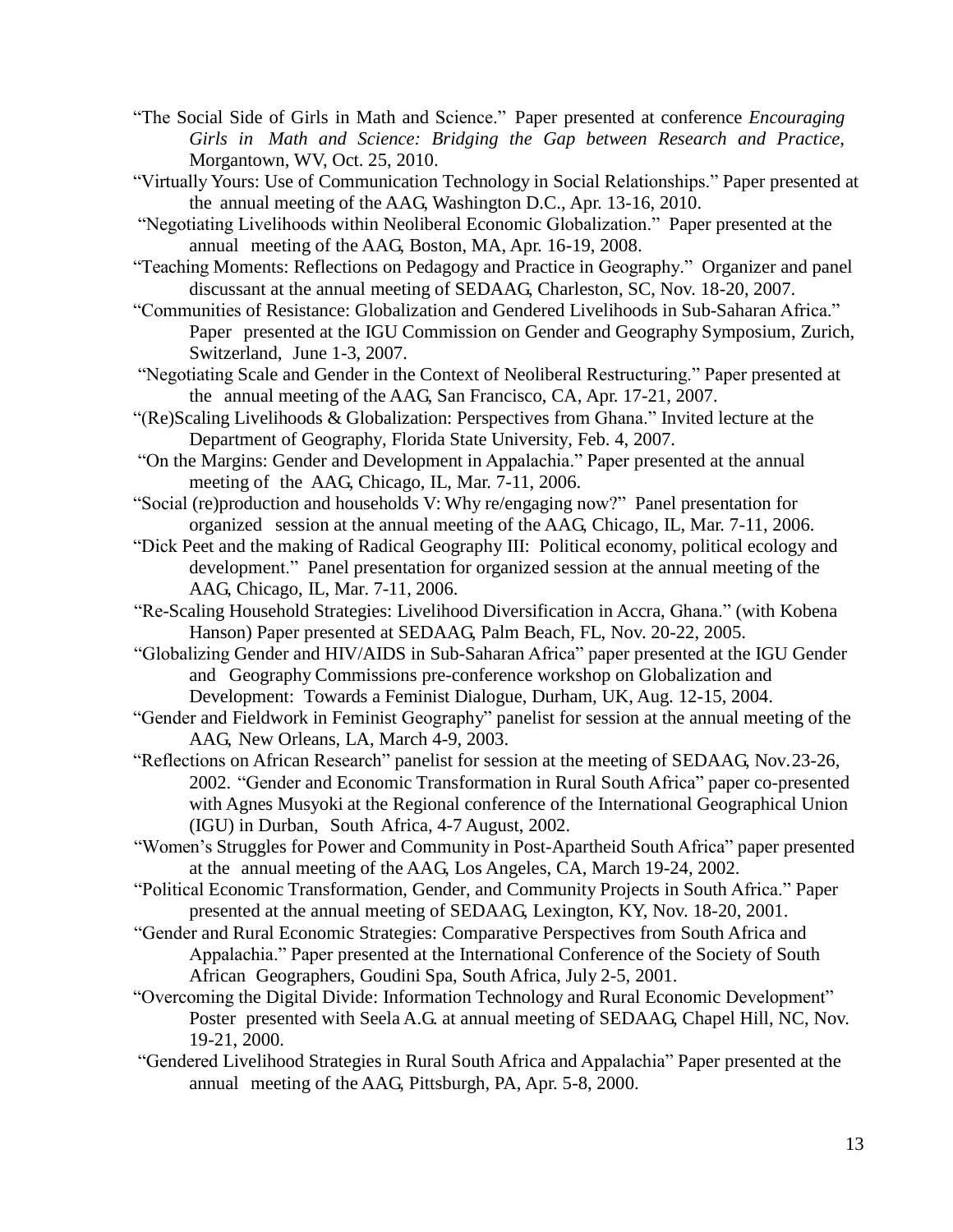- "The Social Side of Girls in Math and Science." Paper presented at conference *Encouraging Girls in Math and Science: Bridging the Gap between Research and Practice*, Morgantown, WV, Oct. 25, 2010.
- "Virtually Yours: Use of Communication Technology in Social Relationships." Paper presented at the annual meeting of the AAG, Washington D.C., Apr. 13-16, 2010.
- "Negotiating Livelihoods within Neoliberal Economic Globalization." Paper presented at the annual meeting of the AAG, Boston, MA, Apr. 16-19, 2008.
- "Teaching Moments: Reflections on Pedagogy and Practice in Geography." Organizer and panel discussant at the annual meeting of SEDAAG, Charleston, SC, Nov. 18-20, 2007.
- "Communities of Resistance: Globalization and Gendered Livelihoods in Sub-Saharan Africa." Paper presented at the IGU Commission on Gender and Geography Symposium, Zurich, Switzerland, June 1-3, 2007.
- "Negotiating Scale and Gender in the Context of Neoliberal Restructuring." Paper presented at the annual meeting of the AAG, San Francisco, CA, Apr. 17-21, 2007.
- "(Re)Scaling Livelihoods & Globalization: Perspectives from Ghana." Invited lecture at the Department of Geography, Florida State University, Feb. 4, 2007.
- "On the Margins: Gender and Development in Appalachia." Paper presented at the annual meeting of the AAG, Chicago, IL, Mar. 7-11, 2006.
- "Social (re)production and households V: Why re/engaging now?" Panel presentation for organized session at the annual meeting of the AAG, Chicago, IL, Mar. 7-11, 2006.
- "Dick Peet and the making of Radical Geography III: Political economy, political ecology and development." Panel presentation for organized session at the annual meeting of the AAG, Chicago, IL, Mar. 7-11, 2006.
- "Re-Scaling Household Strategies: Livelihood Diversification in Accra, Ghana." (with Kobena Hanson) Paper presented at SEDAAG, Palm Beach, FL, Nov. 20-22, 2005.
- "Globalizing Gender and HIV/AIDS in Sub-Saharan Africa" paper presented at the IGU Gender and Geography Commissions pre-conference workshop on Globalization and Development: Towards a Feminist Dialogue, Durham, UK, Aug. 12-15, 2004.
- "Gender and Fieldwork in Feminist Geography" panelist for session at the annual meeting of the AAG, New Orleans, LA, March 4-9, 2003.
- "Reflections on African Research" panelist for session at the meeting of SEDAAG, Nov.23-26, 2002. "Gender and Economic Transformation in Rural South Africa" paper co-presented with Agnes Musyoki at the Regional conference of the International Geographical Union (IGU) in Durban, South Africa, 4-7 August, 2002.
- "Women's Struggles for Power and Community in Post-Apartheid South Africa" paper presented at the annual meeting of the AAG, Los Angeles, CA, March 19-24, 2002.
- "Political Economic Transformation, Gender, and Community Projects in South Africa." Paper presented at the annual meeting of SEDAAG, Lexington, KY, Nov. 18-20, 2001.
- "Gender and Rural Economic Strategies: Comparative Perspectives from South Africa and Appalachia." Paper presented at the International Conference of the Society of South African Geographers, Goudini Spa, South Africa, July 2-5, 2001.
- "Overcoming the Digital Divide: Information Technology and Rural Economic Development" Poster presented with Seela A.G. at annual meeting of SEDAAG, Chapel Hill, NC, Nov. 19-21, 2000.
- "Gendered Livelihood Strategies in Rural South Africa and Appalachia" Paper presented at the annual meeting of the AAG, Pittsburgh, PA, Apr. 5-8, 2000.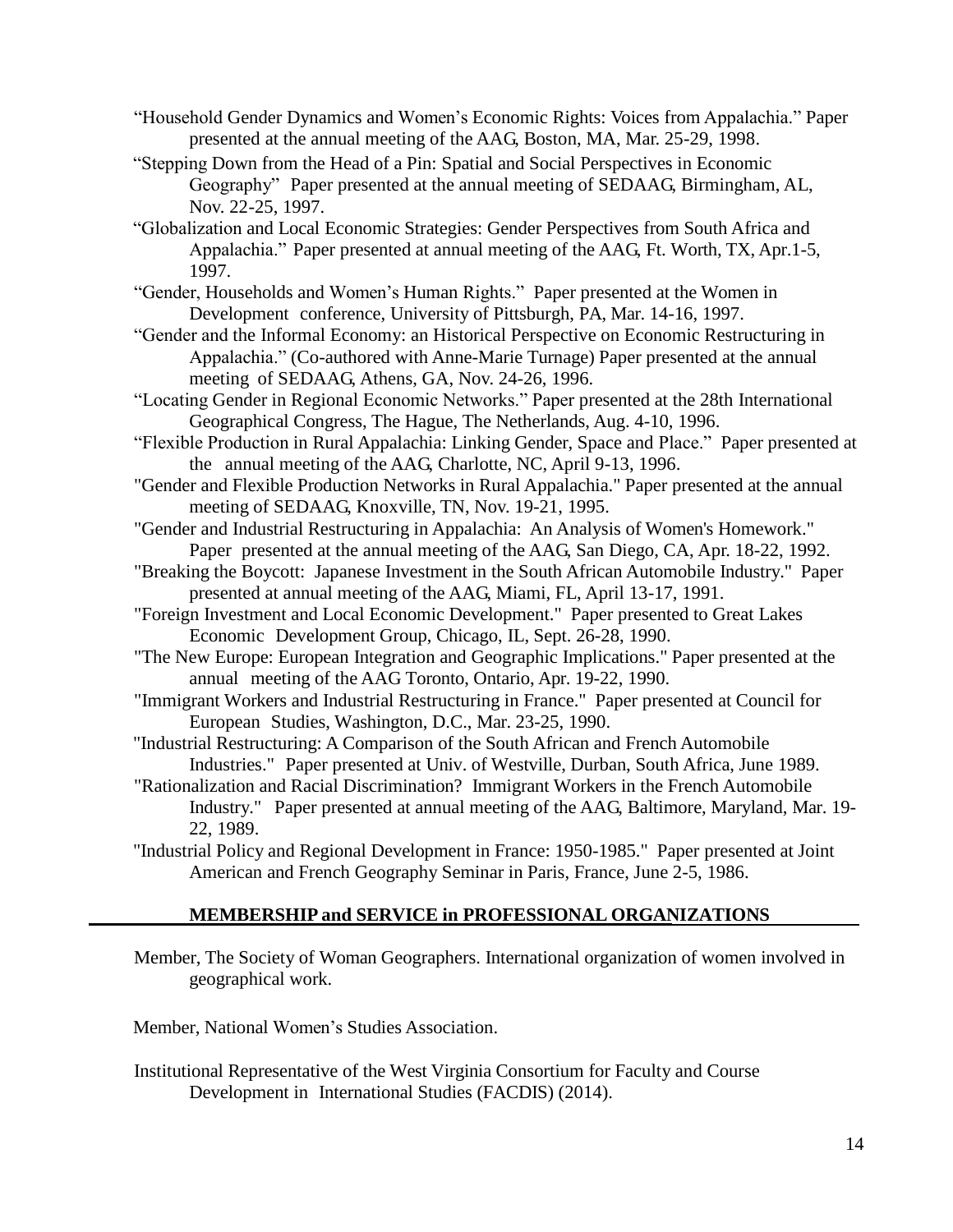- "Household Gender Dynamics and Women's Economic Rights: Voices from Appalachia." Paper presented at the annual meeting of the AAG, Boston, MA, Mar. 25-29, 1998.
- "Stepping Down from the Head of a Pin: Spatial and Social Perspectives in Economic Geography" Paper presented at the annual meeting of SEDAAG, Birmingham, AL, Nov. 22-25, 1997.
- "Globalization and Local Economic Strategies: Gender Perspectives from South Africa and Appalachia." Paper presented at annual meeting of the AAG, Ft. Worth, TX, Apr.1-5, 1997.
- "Gender, Households and Women's Human Rights." Paper presented at the Women in Development conference, University of Pittsburgh, PA, Mar. 14-16, 1997.
- "Gender and the Informal Economy: an Historical Perspective on Economic Restructuring in Appalachia." (Co-authored with Anne-Marie Turnage) Paper presented at the annual meeting of SEDAAG, Athens, GA, Nov. 24-26, 1996.
- "Locating Gender in Regional Economic Networks." Paper presented at the 28th International Geographical Congress, The Hague, The Netherlands, Aug. 4-10, 1996.
- "Flexible Production in Rural Appalachia: Linking Gender, Space and Place." Paper presented at the annual meeting of the AAG, Charlotte, NC, April 9-13, 1996.
- "Gender and Flexible Production Networks in Rural Appalachia." Paper presented at the annual meeting of SEDAAG, Knoxville, TN, Nov. 19-21, 1995.
- "Gender and Industrial Restructuring in Appalachia: An Analysis of Women's Homework." Paper presented at the annual meeting of the AAG, San Diego, CA, Apr. 18-22, 1992.
- "Breaking the Boycott: Japanese Investment in the South African Automobile Industry." Paper presented at annual meeting of the AAG, Miami, FL, April 13-17, 1991.
- "Foreign Investment and Local Economic Development." Paper presented to Great Lakes Economic Development Group, Chicago, IL, Sept. 26-28, 1990.
- "The New Europe: European Integration and Geographic Implications." Paper presented at the annual meeting of the AAG Toronto, Ontario, Apr. 19-22, 1990.
- "Immigrant Workers and Industrial Restructuring in France." Paper presented at Council for European Studies, Washington, D.C., Mar. 23-25, 1990.
- "Industrial Restructuring: A Comparison of the South African and French Automobile Industries." Paper presented at Univ. of Westville, Durban, South Africa, June 1989.
- "Rationalization and Racial Discrimination? Immigrant Workers in the French Automobile Industry." Paper presented at annual meeting of the AAG, Baltimore, Maryland, Mar. 19- 22, 1989.
- "Industrial Policy and Regional Development in France: 1950-1985." Paper presented at Joint American and French Geography Seminar in Paris, France, June 2-5, 1986.

## **MEMBERSHIP and SERVICE in PROFESSIONAL ORGANIZATIONS**

Member, The Society of Woman Geographers. International organization of women involved in geographical work.

Member, National Women's Studies Association.

Institutional Representative of the West Virginia Consortium for Faculty and Course Development in International Studies (FACDIS) (2014).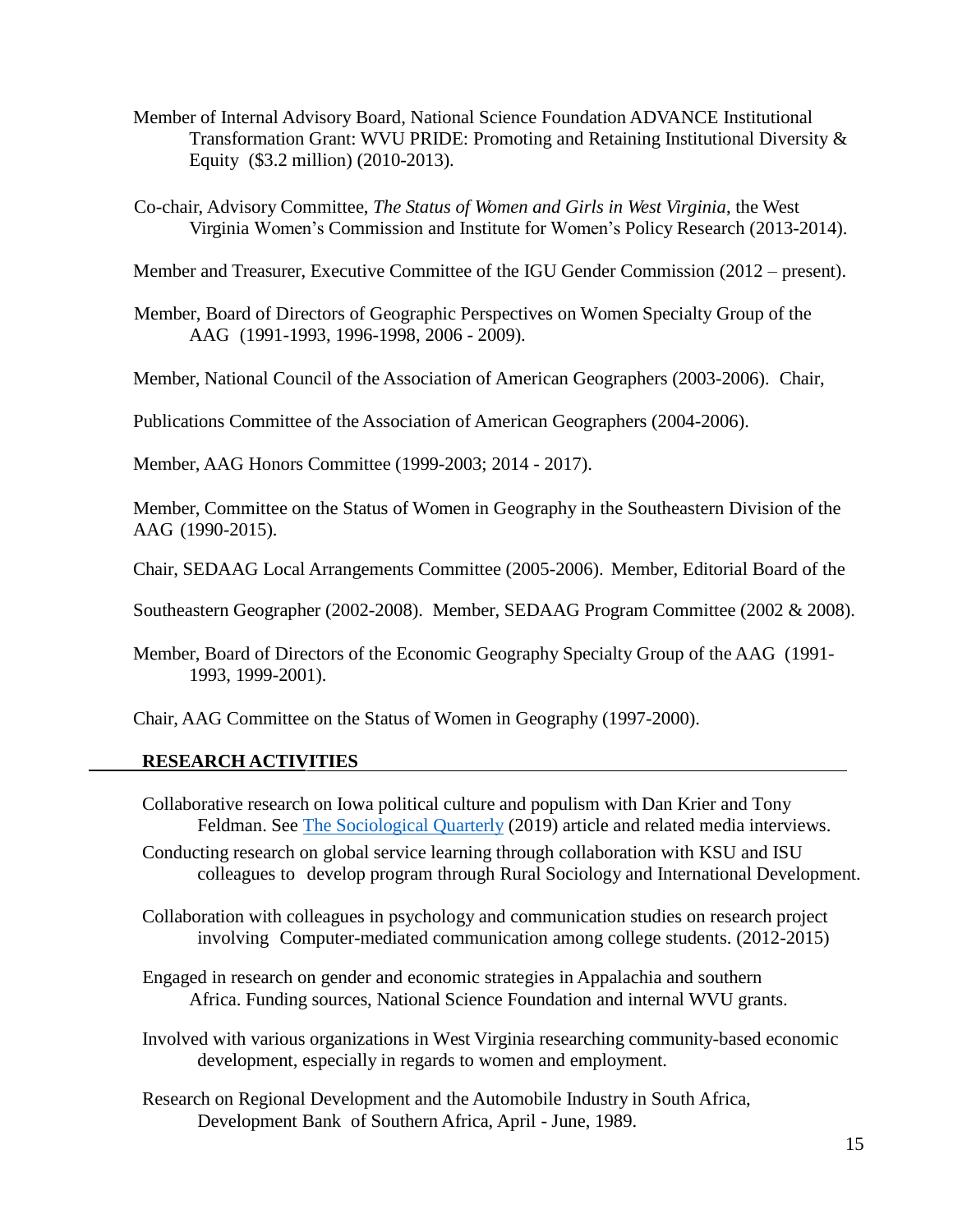- Member of Internal Advisory Board, National Science Foundation ADVANCE Institutional Transformation Grant: WVU PRIDE: Promoting and Retaining Institutional Diversity & Equity (\$3.2 million) (2010-2013).
- Co-chair, Advisory Committee, *The Status of Women and Girls in West Virginia*, the West Virginia Women's Commission and Institute for Women's Policy Research (2013-2014).

Member and Treasurer, Executive Committee of the IGU Gender Commission (2012 – present).

Member, Board of Directors of Geographic Perspectives on Women Specialty Group of the AAG (1991-1993, 1996-1998, 2006 - 2009).

Member, National Council of the Association of American Geographers (2003-2006). Chair,

Publications Committee of the Association of American Geographers (2004-2006).

Member, AAG Honors Committee (1999-2003; 2014 - 2017).

Member, Committee on the Status of Women in Geography in the Southeastern Division of the AAG (1990-2015).

Chair, SEDAAG Local Arrangements Committee (2005-2006). Member, Editorial Board of the

Southeastern Geographer (2002-2008). Member, SEDAAG Program Committee (2002 & 2008).

Member, Board of Directors of the Economic Geography Specialty Group of the AAG (1991- 1993, 1999-2001).

Chair, AAG Committee on the Status of Women in Geography (1997-2000).

## **RESEARCH ACTIVITIES**

- Collaborative research on Iowa political culture and populism with Dan Krier and Tony Feldman. See [The Sociological Quarterly](https://www.tandfonline.com/doi/full/10.1080/00380253.2019.1580543) (2019) article and related media interviews.
- Conducting research on global service learning through collaboration with KSU and ISU colleagues to develop program through Rural Sociology and International Development.
- Collaboration with colleagues in psychology and communication studies on research project involving Computer-mediated communication among college students. (2012-2015)
- Engaged in research on gender and economic strategies in Appalachia and southern Africa. Funding sources, National Science Foundation and internal WVU grants.
- Involved with various organizations in West Virginia researching community-based economic development, especially in regards to women and employment.
- Research on Regional Development and the Automobile Industry in South Africa, Development Bank of Southern Africa, April - June, 1989.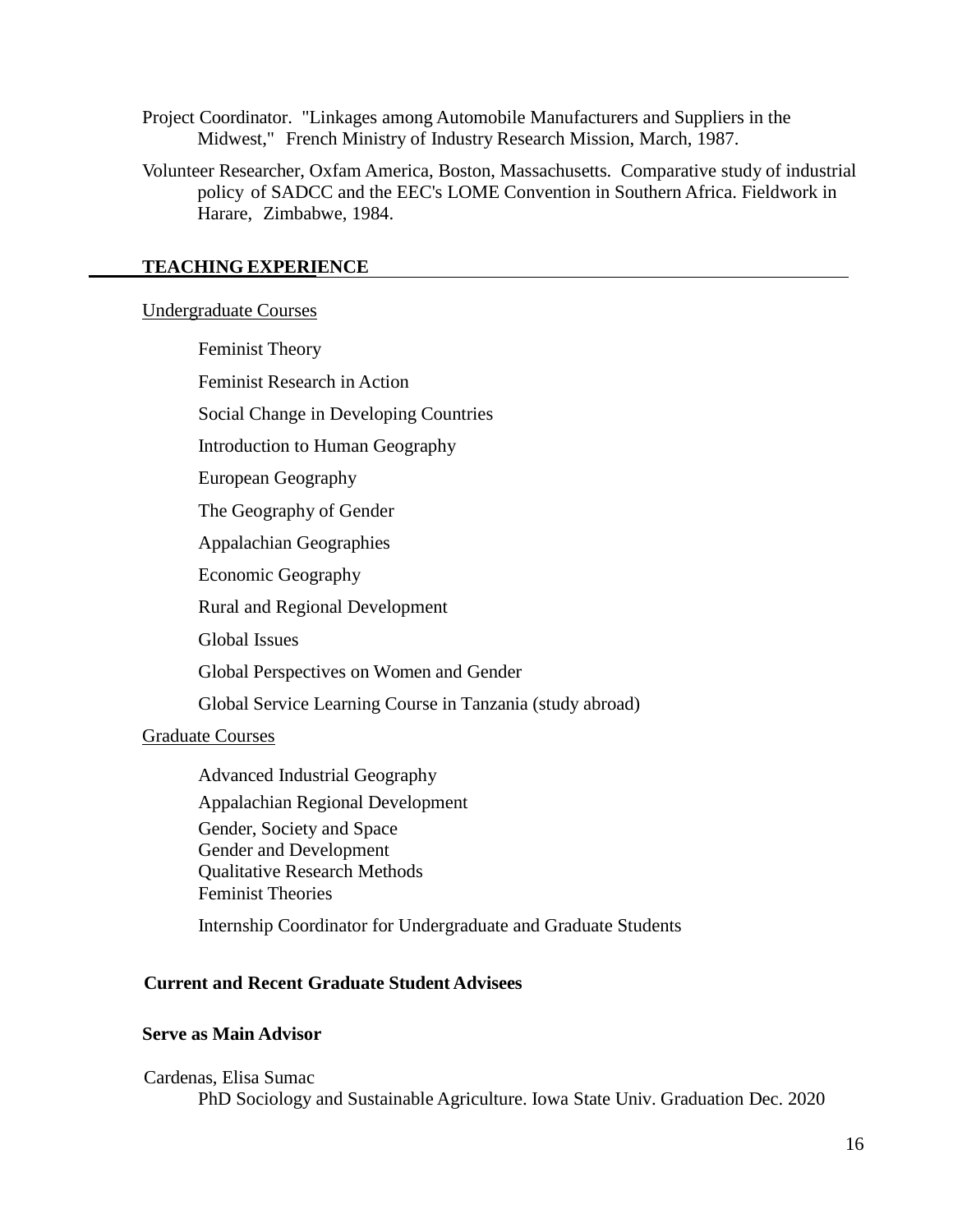Project Coordinator. "Linkages among Automobile Manufacturers and Suppliers in the Midwest," French Ministry of Industry Research Mission, March, 1987.

Volunteer Researcher, Oxfam America, Boston, Massachusetts. Comparative study of industrial policy of SADCC and the EEC's LOME Convention in Southern Africa. Fieldwork in Harare, Zimbabwe, 1984.

#### **TEACHING EXPERIENCE**

#### Undergraduate Courses

Feminist Theory Feminist Research in Action Social Change in Developing Countries Introduction to Human Geography European Geography The Geography of Gender Appalachian Geographies Economic Geography Rural and Regional Development Global Issues Global Perspectives on Women and Gender Global Service Learning Course in Tanzania (study abroad) Graduate Courses Advanced Industrial Geography Appalachian Regional Development Gender, Society and Space Gender and Development Qualitative Research Methods Feminist Theories

Internship Coordinator for Undergraduate and Graduate Students

### **Current and Recent Graduate Student Advisees**

### **Serve as Main Advisor**

Cardenas, Elisa Sumac PhD Sociology and Sustainable Agriculture. Iowa State Univ. Graduation Dec. 2020